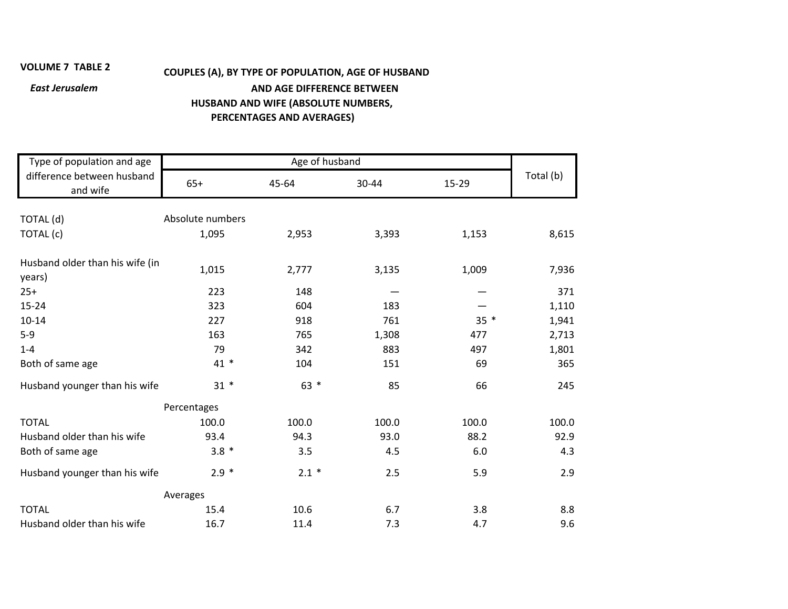## **VOLUME 7**

## **TABLE <sup>2</sup> COUPLES (A), BY TYPE OF POPULATION, AGE OF HUSBAND** *East Jerusalem* **AND AGE DIFFERENCE BETWEEN HUSBAND AND WIFE (ABSOLUTE NUMBERS, PERCENTAGES AND AVERAGES)**

| Type of population and age                | Age of husband   |         |       |        |           |  |
|-------------------------------------------|------------------|---------|-------|--------|-----------|--|
| difference between husband<br>and wife    | $65+$            | 45-64   | 30-44 | 15-29  | Total (b) |  |
|                                           |                  |         |       |        |           |  |
| TOTAL (d)                                 | Absolute numbers |         |       |        |           |  |
| TOTAL (c)                                 | 1,095            | 2,953   | 3,393 | 1,153  | 8,615     |  |
| Husband older than his wife (in<br>years) | 1,015            | 2,777   | 3,135 | 1,009  | 7,936     |  |
| $25+$                                     | 223              | 148     |       |        | 371       |  |
| 15-24                                     | 323              | 604     | 183   |        | 1,110     |  |
| $10 - 14$                                 | 227              | 918     | 761   | $35 *$ | 1,941     |  |
| $5-9$                                     | 163              | 765     | 1,308 | 477    | 2,713     |  |
| $1 - 4$                                   | 79               | 342     | 883   | 497    | 1,801     |  |
| Both of same age                          | $41 *$           | 104     | 151   | 69     | 365       |  |
| Husband younger than his wife             | $31 *$           | $63 *$  | 85    | 66     | 245       |  |
| Percentages                               |                  |         |       |        |           |  |
| <b>TOTAL</b>                              | 100.0            | 100.0   | 100.0 | 100.0  | 100.0     |  |
| Husband older than his wife               | 93.4             | 94.3    | 93.0  | 88.2   | 92.9      |  |
| Both of same age                          | $3.8 *$          | 3.5     | 4.5   | 6.0    | 4.3       |  |
| Husband younger than his wife             | $2.9 *$          | $2.1 *$ | 2.5   | 5.9    | 2.9       |  |
|                                           | Averages         |         |       |        |           |  |
| <b>TOTAL</b>                              | 15.4             | 10.6    | 6.7   | 3.8    | 8.8       |  |
| Husband older than his wife               | 16.7             | 11.4    | 7.3   | 4.7    | 9.6       |  |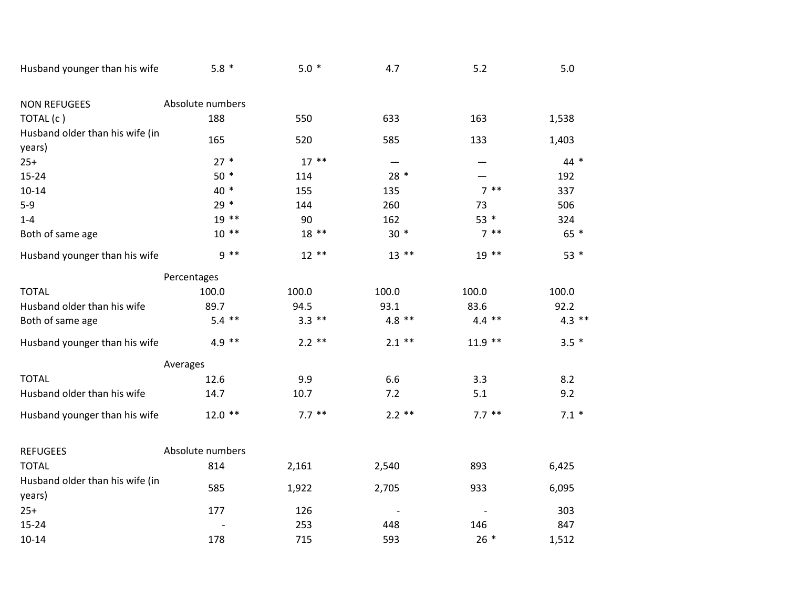| Husband younger than his wife             | $5.8*$           | $5.0*$   | 4.7      | 5.2       | 5.0      |  |  |
|-------------------------------------------|------------------|----------|----------|-----------|----------|--|--|
| <b>NON REFUGEES</b>                       | Absolute numbers |          |          |           |          |  |  |
| TOTAL (c)                                 | 188              | 550      | 633      | 163       | 1,538    |  |  |
| Husband older than his wife (in<br>years) | 165              | 520      | 585      | 133       | 1,403    |  |  |
| $25+$                                     | $27 *$           | $17***$  | —        |           | 44 *     |  |  |
| $15 - 24$                                 | $50*$            | 114      | $28 *$   |           | 192      |  |  |
| $10 - 14$                                 | 40 *             | 155      | 135      | $7***$    | 337      |  |  |
| $5-9$                                     | $29 *$           | 144      | 260      | 73        | 506      |  |  |
| $1 - 4$                                   | $19***$          | 90       | 162      | $53 *$    | 324      |  |  |
| Both of same age                          | $10**$           | $18**$   | $30 *$   | $7 * *$   | 65 *     |  |  |
| Husband younger than his wife             | $9 * *$          | $12**$   | $13***$  | $19**$    | $53 *$   |  |  |
|                                           | Percentages      |          |          |           |          |  |  |
| <b>TOTAL</b>                              | 100.0            | 100.0    | 100.0    | 100.0     | 100.0    |  |  |
| Husband older than his wife               | 89.7             | 94.5     | 93.1     | 83.6      | 92.2     |  |  |
| Both of same age                          | $5.4$ **         | $3.3$ ** | $4.8$ ** | $4.4$ **  | $4.3$ ** |  |  |
| Husband younger than his wife             | $4.9$ **         | $2.2$ ** | $2.1$ ** | $11.9$ ** | $3.5*$   |  |  |
|                                           | Averages         |          |          |           |          |  |  |
| <b>TOTAL</b>                              | 12.6             | 9.9      | 6.6      | 3.3       | 8.2      |  |  |
| Husband older than his wife               | 14.7             | 10.7     | 7.2      | 5.1       | 9.2      |  |  |
| Husband younger than his wife             | $12.0$ **        | $7.7***$ | $2.2$ ** | $7.7***$  | $7.1*$   |  |  |
| <b>REFUGEES</b>                           | Absolute numbers |          |          |           |          |  |  |
| <b>TOTAL</b>                              | 814              | 2,161    | 2,540    | 893       | 6,425    |  |  |
| Husband older than his wife (in<br>years) | 585              | 1,922    | 2,705    | 933       | 6,095    |  |  |
| $25+$                                     | 177              | 126      |          |           | 303      |  |  |
| $15 - 24$                                 |                  | 253      | 448      | 146       | 847      |  |  |
| $10 - 14$                                 | 178              | 715      | 593      | $26*$     | 1,512    |  |  |